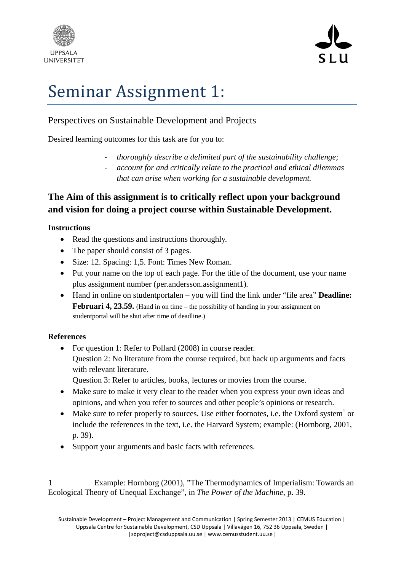



# Seminar Assignment 1:

## Perspectives on Sustainable Development and Projects

Desired learning outcomes for this task are for you to:

- ‐ *thoroughly describe a delimited part of the sustainability challenge;*
- ‐ *account for and critically relate to the practical and ethical dilemmas that can arise when working for a sustainable development.*

# **The Aim of this assignment is to critically reflect upon your background and vision for doing a project course within Sustainable Development.**

## **Instructions**

- Read the questions and instructions thoroughly.
- The paper should consist of 3 pages.
- Size: 12. Spacing: 1,5. Font: Times New Roman.
- Put your name on the top of each page. For the title of the document, use your name plus assignment number (per.andersson.assignment1)*.*
- Hand in online on studentportalen you will find the link under "file area" **Deadline: Februari 4, 23.59.** (Hand in on time – the possibility of handing in your assignment on studentportal will be shut after time of deadline.)

## **References**

• For question 1: Refer to Pollard (2008) in course reader. Question 2: No literature from the course required, but back up arguments and facts with relevant literature.

Question 3: Refer to articles, books, lectures or movies from the course.

- Make sure to make it very clear to the reader when you express your own ideas and opinions, and when you refer to sources and other people's opinions or research.
- Make sure to refer properly to sources. Use either footnotes, i.e. the Oxford system<sup>1</sup> or include the references in the text, i.e. the Harvard System; example: (Hornborg, 2001, p. 39).
- Support your arguments and basic facts with references.

<sup>1</sup> Example: Hornborg (2001), "The Thermodynamics of Imperialism: Towards an Ecological Theory of Unequal Exchange", in *The Power of the Machine*, p. 39.

Sustainable Development – Project Management and Communication | Spring Semester 2013 | CEMUS Education | Uppsala Centre for Sustainable Development, CSD Uppsala | Villavägen 16, 752 36 Uppsala, Sweden | |sdproject@csduppsala.uu.se | www.cemusstudent.uu.se|